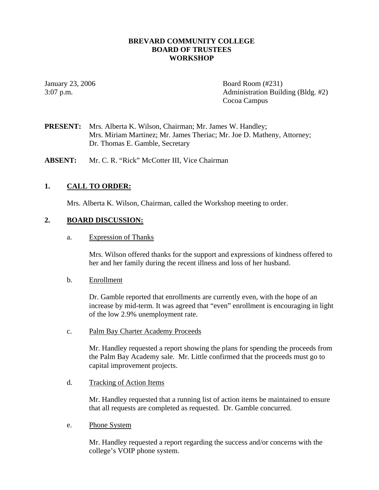## **BREVARD COMMUNITY COLLEGE BOARD OF TRUSTEES WORKSHOP**

January 23, 2006 Board Room (#231) 3:07 p.m. Administration Building (Bldg. #2) Cocoa Campus

**PRESENT:** Mrs. Alberta K. Wilson, Chairman; Mr. James W. Handley; Mrs. Miriam Martinez; Mr. James Theriac; Mr. Joe D. Matheny, Attorney; Dr. Thomas E. Gamble, Secretary

**ABSENT:** Mr. C. R. "Rick" McCotter III, Vice Chairman

## **1. CALL TO ORDER:**

Mrs. Alberta K. Wilson, Chairman, called the Workshop meeting to order.

#### **2. BOARD DISCUSSION:**

#### a. Expression of Thanks

Mrs. Wilson offered thanks for the support and expressions of kindness offered to her and her family during the recent illness and loss of her husband.

#### b. Enrollment

Dr. Gamble reported that enrollments are currently even, with the hope of an increase by mid-term. It was agreed that "even" enrollment is encouraging in light of the low 2.9% unemployment rate.

c. Palm Bay Charter Academy Proceeds

Mr. Handley requested a report showing the plans for spending the proceeds from the Palm Bay Academy sale. Mr. Little confirmed that the proceeds must go to capital improvement projects.

d. Tracking of Action Items

Mr. Handley requested that a running list of action items be maintained to ensure that all requests are completed as requested. Dr. Gamble concurred.

e. Phone System

Mr. Handley requested a report regarding the success and/or concerns with the college's VOIP phone system.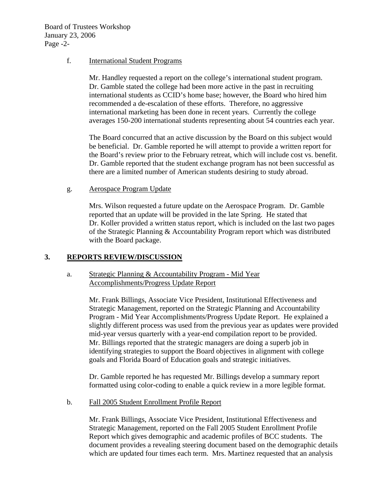Board of Trustees Workshop January 23, 2006 Page -2-

#### f. International Student Programs

Mr. Handley requested a report on the college's international student program. Dr. Gamble stated the college had been more active in the past in recruiting international students as CCID's home base; however, the Board who hired him recommended a de-escalation of these efforts. Therefore, no aggressive international marketing has been done in recent years. Currently the college averages 150-200 international students representing about 54 countries each year.

The Board concurred that an active discussion by the Board on this subject would be beneficial. Dr. Gamble reported he will attempt to provide a written report for the Board's review prior to the February retreat, which will include cost vs. benefit. Dr. Gamble reported that the student exchange program has not been successful as there are a limited number of American students desiring to study abroad.

# g. Aerospace Program Update

Mrs. Wilson requested a future update on the Aerospace Program. Dr. Gamble reported that an update will be provided in the late Spring. He stated that Dr. Koller provided a written status report, which is included on the last two pages of the Strategic Planning & Accountability Program report which was distributed with the Board package.

## **3. REPORTS REVIEW/DISCUSSION**

## a. Strategic Planning & Accountability Program - Mid Year Accomplishments/Progress Update Report

 Mr. Frank Billings, Associate Vice President, Institutional Effectiveness and Strategic Management, reported on the Strategic Planning and Accountability Program - Mid Year Accomplishments/Progress Update Report. He explained a slightly different process was used from the previous year as updates were provided mid-year versus quarterly with a year-end compilation report to be provided. Mr. Billings reported that the strategic managers are doing a superb job in identifying strategies to support the Board objectives in alignment with college goals and Florida Board of Education goals and strategic initiatives.

 Dr. Gamble reported he has requested Mr. Billings develop a summary report formatted using color-coding to enable a quick review in a more legible format.

## b. Fall 2005 Student Enrollment Profile Report

 Mr. Frank Billings, Associate Vice President, Institutional Effectiveness and Strategic Management, reported on the Fall 2005 Student Enrollment Profile Report which gives demographic and academic profiles of BCC students. The document provides a revealing steering document based on the demographic details which are updated four times each term. Mrs. Martinez requested that an analysis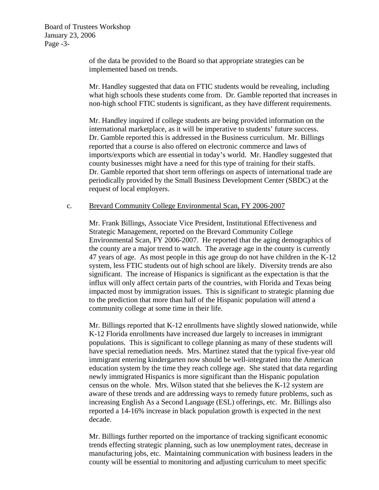Board of Trustees Workshop January 23, 2006 Page -3-

> of the data be provided to the Board so that appropriate strategies can be implemented based on trends.

 Mr. Handley suggested that data on FTIC students would be revealing, including what high schools these students come from. Dr. Gamble reported that increases in non-high school FTIC students is significant, as they have different requirements.

 Mr. Handley inquired if college students are being provided information on the international marketplace, as it will be imperative to students' future success. Dr. Gamble reported this is addressed in the Business curriculum. Mr. Billings reported that a course is also offered on electronic commerce and laws of imports/exports which are essential in today's world. Mr. Handley suggested that county businesses might have a need for this type of training for their staffs. Dr. Gamble reported that short term offerings on aspects of international trade are periodically provided by the Small Business Development Center (SBDC) at the request of local employers.

#### c. Brevard Community College Environmental Scan, FY 2006-2007

 Mr. Frank Billings, Associate Vice President, Institutional Effectiveness and Strategic Management, reported on the Brevard Community College Environmental Scan, FY 2006-2007. He reported that the aging demographics of the county are a major trend to watch. The average age in the county is currently 47 years of age. As most people in this age group do not have children in the K-12 system, less FTIC students out of high school are likely. Diversity trends are also significant. The increase of Hispanics is significant as the expectation is that the influx will only affect certain parts of the countries, with Florida and Texas being impacted most by immigration issues. This is significant to strategic planning due to the prediction that more than half of the Hispanic population will attend a community college at some time in their life.

 Mr. Billings reported that K-12 enrollments have slightly slowed nationwide, while K-12 Florida enrollments have increased due largely to increases in immigrant populations. This is significant to college planning as many of these students will have special remediation needs. Mrs. Martinez stated that the typical five-year old immigrant entering kindergarten now should be well-integrated into the American education system by the time they reach college age. She stated that data regarding newly immigrated Hispanics is more significant than the Hispanic population census on the whole. Mrs. Wilson stated that she believes the K-12 system are aware of these trends and are addressing ways to remedy future problems, such as increasing English As a Second Language (ESL) offerings, etc. Mr. Billings also reported a 14-16% increase in black population growth is expected in the next decade.

 Mr. Billings further reported on the importance of tracking significant economic trends effecting strategic planning, such as low unemployment rates, decrease in manufacturing jobs, etc. Maintaining communication with business leaders in the county will be essential to monitoring and adjusting curriculum to meet specific